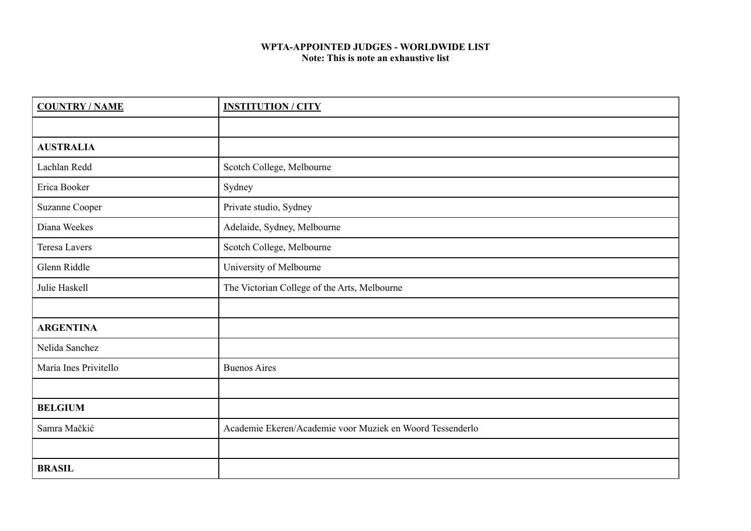## **WPTA-APPOINTED JUDGES - WORLDWIDE LIST Note: This is note an exhaustive list**

| <b>COUNTRY/NAME</b>   | <b>INSTITUTION / CITY</b>                                 |
|-----------------------|-----------------------------------------------------------|
|                       |                                                           |
| <b>AUSTRALIA</b>      |                                                           |
| Lachlan Redd          | Scotch College, Melbourne                                 |
| Erica Booker          | Sydney                                                    |
| Suzanne Cooper        | Private studio, Sydney                                    |
| Diana Weekes          | Adelaide, Sydney, Melbourne                               |
| <b>Teresa Lavers</b>  | Scotch College, Melbourne                                 |
| Glenn Riddle          | University of Melbourne                                   |
| Julie Haskell         | The Victorian College of the Arts, Melbourne              |
|                       |                                                           |
| <b>ARGENTINA</b>      |                                                           |
| Nelida Sanchez        |                                                           |
| María Ines Privitello | <b>Buenos Aires</b>                                       |
|                       |                                                           |
| <b>BELGIUM</b>        |                                                           |
| Samra Mačkić          | Academie Ekeren/Academie voor Muziek en Woord Tessenderlo |
|                       |                                                           |
| <b>BRASIL</b>         |                                                           |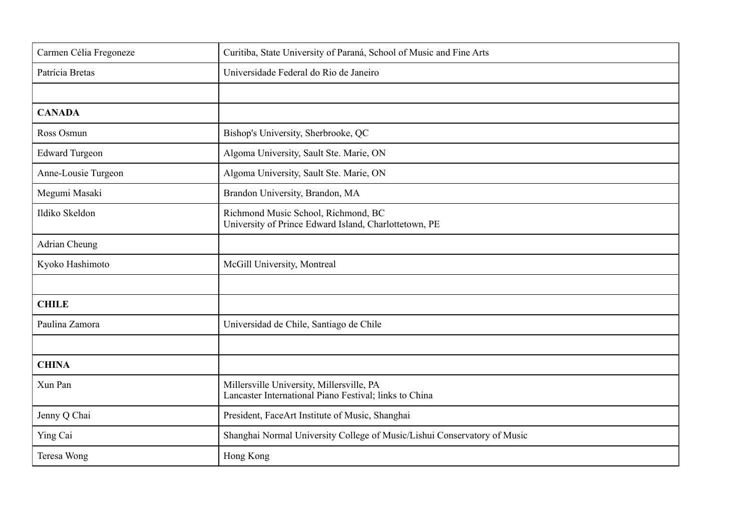| Carmen Célia Fregoneze | Curitiba, State University of Paraná, School of Music and Fine Arts                                 |
|------------------------|-----------------------------------------------------------------------------------------------------|
| Patrícia Bretas        | Universidade Federal do Rio de Janeiro                                                              |
|                        |                                                                                                     |
| <b>CANADA</b>          |                                                                                                     |
| Ross Osmun             | Bishop's University, Sherbrooke, QC                                                                 |
| <b>Edward Turgeon</b>  | Algoma University, Sault Ste. Marie, ON                                                             |
| Anne-Lousie Turgeon    | Algoma University, Sault Ste. Marie, ON                                                             |
| Megumi Masaki          | Brandon University, Brandon, MA                                                                     |
| Ildiko Skeldon         | Richmond Music School, Richmond, BC<br>University of Prince Edward Island, Charlottetown, PE        |
| <b>Adrian Cheung</b>   |                                                                                                     |
| Kyoko Hashimoto        | McGill University, Montreal                                                                         |
|                        |                                                                                                     |
| <b>CHILE</b>           |                                                                                                     |
| Paulina Zamora         | Universidad de Chile, Santiago de Chile                                                             |
|                        |                                                                                                     |
| <b>CHINA</b>           |                                                                                                     |
| Xun Pan                | Millersville University, Millersville, PA<br>Lancaster International Piano Festival; links to China |
| Jenny Q Chai           | President, FaceArt Institute of Music, Shanghai                                                     |
| Ying Cai               | Shanghai Normal University College of Music/Lishui Conservatory of Music                            |
| Teresa Wong            | Hong Kong                                                                                           |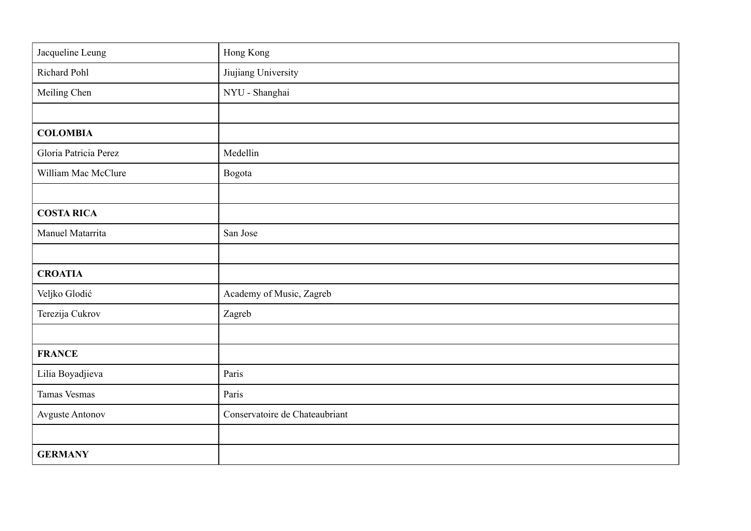| Jacqueline Leung       | Hong Kong                      |
|------------------------|--------------------------------|
| Richard Pohl           | Jiujiang University            |
| Meiling Chen           | NYU - Shanghai                 |
|                        |                                |
| <b>COLOMBIA</b>        |                                |
| Gloria Patricia Perez  | Medellin                       |
| William Mac McClure    | Bogota                         |
|                        |                                |
| <b>COSTA RICA</b>      |                                |
| Manuel Matarrita       | San Jose                       |
|                        |                                |
| <b>CROATIA</b>         |                                |
| Veljko Glodić          | Academy of Music, Zagreb       |
| Terezija Cukrov        | Zagreb                         |
|                        |                                |
| <b>FRANCE</b>          |                                |
| Lilia Boyadjieva       | Paris                          |
| <b>Tamas Vesmas</b>    | Paris                          |
| <b>Avguste Antonov</b> | Conservatoire de Chateaubriant |
|                        |                                |
| <b>GERMANY</b>         |                                |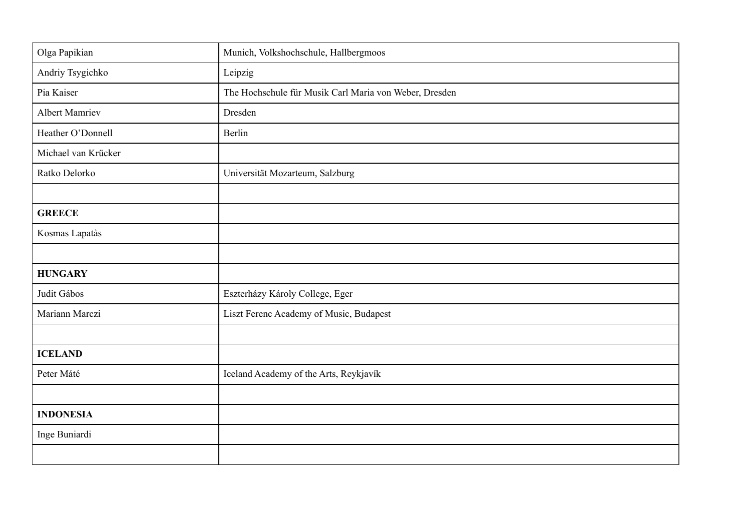| Olga Papikian         | Munich, Volkshochschule, Hallbergmoos                  |
|-----------------------|--------------------------------------------------------|
| Andriy Tsygichko      | Leipzig                                                |
| Pia Kaiser            | The Hochschule für Musik Carl Maria von Weber, Dresden |
| <b>Albert Mamriev</b> | Dresden                                                |
| Heather O'Donnell     | Berlin                                                 |
| Michael van Krücker   |                                                        |
| Ratko Delorko         | Universität Mozarteum, Salzburg                        |
|                       |                                                        |
| <b>GREECE</b>         |                                                        |
| Kosmas Lapatàs        |                                                        |
|                       |                                                        |
| <b>HUNGARY</b>        |                                                        |
| Judit Gábos           | Eszterházy Károly College, Eger                        |
| Mariann Marczi        | Liszt Ferenc Academy of Music, Budapest                |
|                       |                                                        |
| <b>ICELAND</b>        |                                                        |
| Peter Máté            | Iceland Academy of the Arts, Reykjavík                 |
|                       |                                                        |
| <b>INDONESIA</b>      |                                                        |
| Inge Buniardi         |                                                        |
|                       |                                                        |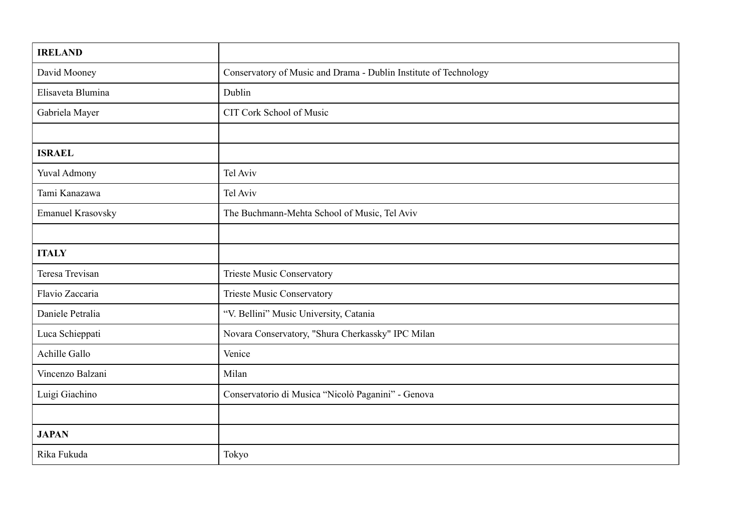| <b>IRELAND</b>           |                                                                  |
|--------------------------|------------------------------------------------------------------|
| David Mooney             | Conservatory of Music and Drama - Dublin Institute of Technology |
| Elisaveta Blumina        | Dublin                                                           |
| Gabriela Mayer           | CIT Cork School of Music                                         |
|                          |                                                                  |
| <b>ISRAEL</b>            |                                                                  |
| Yuval Admony             | Tel Aviv                                                         |
| Tami Kanazawa            | Tel Aviv                                                         |
| <b>Emanuel Krasovsky</b> | The Buchmann-Mehta School of Music, Tel Aviv                     |
|                          |                                                                  |
| <b>ITALY</b>             |                                                                  |
| Teresa Trevisan          | <b>Trieste Music Conservatory</b>                                |
| Flavio Zaccaria          | <b>Trieste Music Conservatory</b>                                |
| Daniele Petralia         | "V. Bellini" Music University, Catania                           |
| Luca Schieppati          | Novara Conservatory, "Shura Cherkassky" IPC Milan                |
| <b>Achille Gallo</b>     | Venice                                                           |
| Vincenzo Balzani         | Milan                                                            |
| Luigi Giachino           | Conservatorio di Musica "Nicolò Paganini" - Genova               |
|                          |                                                                  |
| <b>JAPAN</b>             |                                                                  |
| Rika Fukuda              | Tokyo                                                            |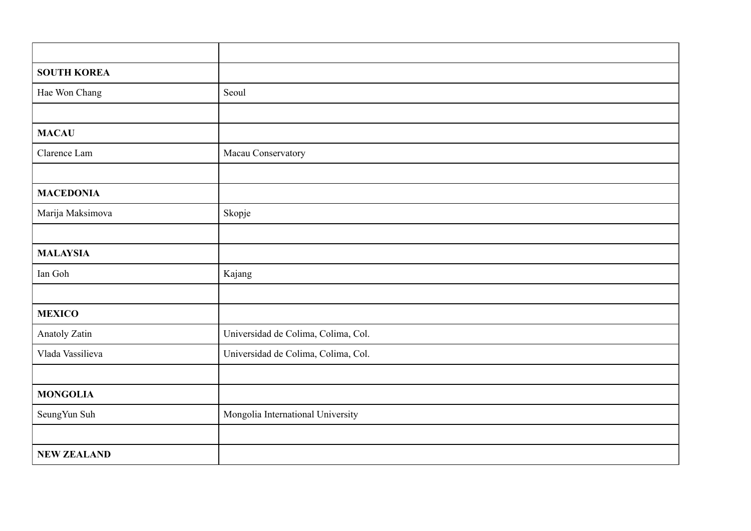| <b>SOUTH KOREA</b> |                                     |
|--------------------|-------------------------------------|
| Hae Won Chang      | Seoul                               |
|                    |                                     |
| <b>MACAU</b>       |                                     |
| Clarence Lam       | Macau Conservatory                  |
|                    |                                     |
| <b>MACEDONIA</b>   |                                     |
| Marija Maksimova   | Skopje                              |
|                    |                                     |
| <b>MALAYSIA</b>    |                                     |
| Ian Goh            | Kajang                              |
|                    |                                     |
| <b>MEXICO</b>      |                                     |
| Anatoly Zatin      | Universidad de Colima, Colima, Col. |
| Vlada Vassilieva   | Universidad de Colima, Colima, Col. |
|                    |                                     |
| <b>MONGOLIA</b>    |                                     |
| SeungYun Suh       | Mongolia International University   |
|                    |                                     |
| <b>NEW ZEALAND</b> |                                     |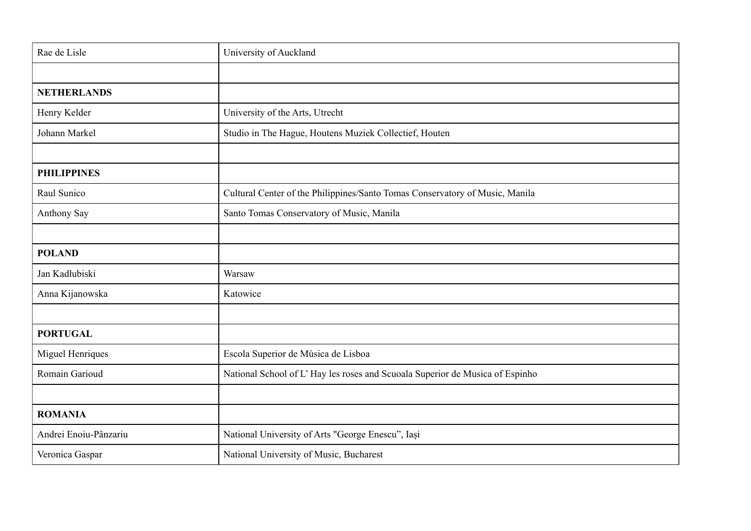| Rae de Lisle          | University of Auckland                                                       |
|-----------------------|------------------------------------------------------------------------------|
|                       |                                                                              |
| <b>NETHERLANDS</b>    |                                                                              |
| Henry Kelder          | University of the Arts, Utrecht                                              |
| Johann Markel         | Studio in The Hague, Houtens Muziek Collectief, Houten                       |
|                       |                                                                              |
| <b>PHILIPPINES</b>    |                                                                              |
| Raul Sunico           | Cultural Center of the Philippines/Santo Tomas Conservatory of Music, Manila |
| Anthony Say           | Santo Tomas Conservatory of Music, Manila                                    |
|                       |                                                                              |
| <b>POLAND</b>         |                                                                              |
| Jan Kadłubiski        | Warsaw                                                                       |
| Anna Kijanowska       | Katowice                                                                     |
|                       |                                                                              |
| <b>PORTUGAL</b>       |                                                                              |
| Miguel Henriques      | Escola Superior de Música de Lisboa                                          |
| Romain Garioud        | National School of L'Hay les roses and Scuoala Superior de Musica of Espinho |
|                       |                                                                              |
| <b>ROMANIA</b>        |                                                                              |
| Andrei Enoiu-Pânzariu | National University of Arts "George Enescu", Iași                            |
| Veronica Gaspar       | National University of Music, Bucharest                                      |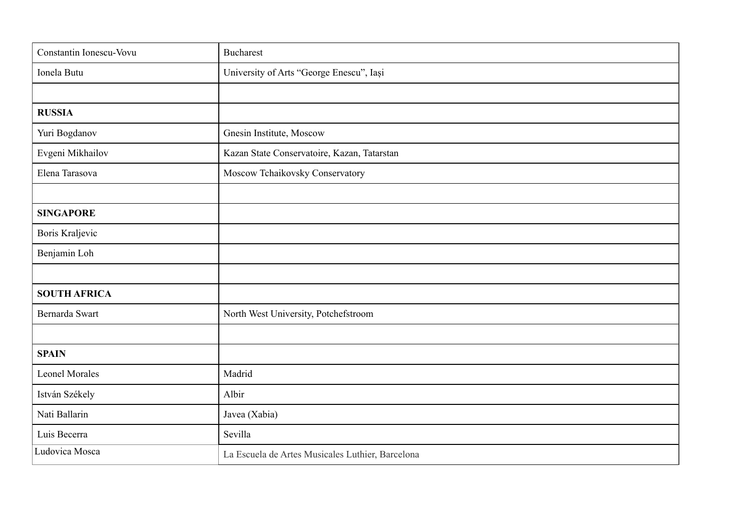| Constantin Ionescu-Vovu | <b>Bucharest</b>                                 |
|-------------------------|--------------------------------------------------|
| Ionela Butu             | University of Arts "George Enescu", Iași         |
|                         |                                                  |
| <b>RUSSIA</b>           |                                                  |
| Yuri Bogdanov           | Gnesin Institute, Moscow                         |
| Evgeni Mikhailov        | Kazan State Conservatoire, Kazan, Tatarstan      |
| Elena Tarasova          | Moscow Tchaikovsky Conservatory                  |
|                         |                                                  |
| <b>SINGAPORE</b>        |                                                  |
| Boris Kraljevic         |                                                  |
| Benjamin Loh            |                                                  |
|                         |                                                  |
| <b>SOUTH AFRICA</b>     |                                                  |
| Bernarda Swart          | North West University, Potchefstroom             |
|                         |                                                  |
| <b>SPAIN</b>            |                                                  |
| <b>Leonel Morales</b>   | Madrid                                           |
| István Székely          | Albir                                            |
| Nati Ballarin           | Javea (Xabia)                                    |
| Luis Becerra            | Sevilla                                          |
| Ludovica Mosca          | La Escuela de Artes Musicales Luthier, Barcelona |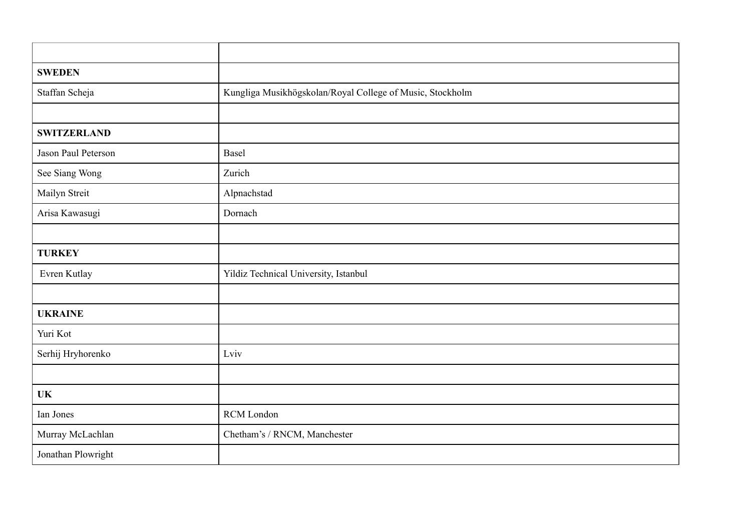| <b>SWEDEN</b>       |                                                           |
|---------------------|-----------------------------------------------------------|
| Staffan Scheja      | Kungliga Musikhögskolan/Royal College of Music, Stockholm |
|                     |                                                           |
| <b>SWITZERLAND</b>  |                                                           |
| Jason Paul Peterson | Basel                                                     |
| See Siang Wong      | Zurich                                                    |
| Mailyn Streit       | Alpnachstad                                               |
| Arisa Kawasugi      | Dornach                                                   |
|                     |                                                           |
| <b>TURKEY</b>       |                                                           |
| Evren Kutlay        | Yildiz Technical University, Istanbul                     |
|                     |                                                           |
| <b>UKRAINE</b>      |                                                           |
| Yuri Kot            |                                                           |
| Serhij Hryhorenko   | Lviv                                                      |
|                     |                                                           |
| <b>UK</b>           |                                                           |
| Ian Jones           | RCM London                                                |
| Murray McLachlan    | Chetham's / RNCM, Manchester                              |
| Jonathan Plowright  |                                                           |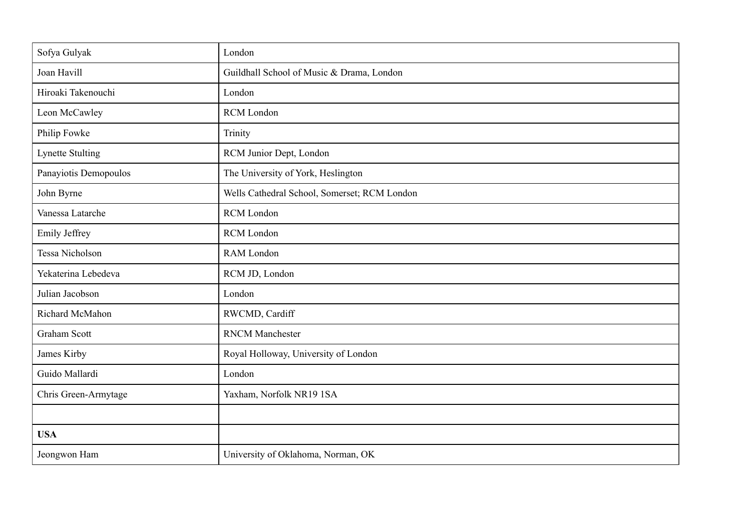| Sofya Gulyak            | London                                       |
|-------------------------|----------------------------------------------|
| Joan Havill             | Guildhall School of Music & Drama, London    |
| Hiroaki Takenouchi      | London                                       |
| Leon McCawley           | <b>RCM</b> London                            |
| Philip Fowke            | Trinity                                      |
| <b>Lynette Stulting</b> | RCM Junior Dept, London                      |
| Panayiotis Demopoulos   | The University of York, Heslington           |
| John Byrne              | Wells Cathedral School, Somerset; RCM London |
| Vanessa Latarche        | <b>RCM</b> London                            |
| Emily Jeffrey           | <b>RCM</b> London                            |
| Tessa Nicholson         | <b>RAM</b> London                            |
| Yekaterina Lebedeva     | RCM JD, London                               |
| Julian Jacobson         | London                                       |
| Richard McMahon         | RWCMD, Cardiff                               |
| <b>Graham Scott</b>     | <b>RNCM</b> Manchester                       |
| James Kirby             | Royal Holloway, University of London         |
| Guido Mallardi          | London                                       |
| Chris Green-Armytage    | Yaxham, Norfolk NR19 1SA                     |
|                         |                                              |
| <b>USA</b>              |                                              |
| Jeongwon Ham            | University of Oklahoma, Norman, OK           |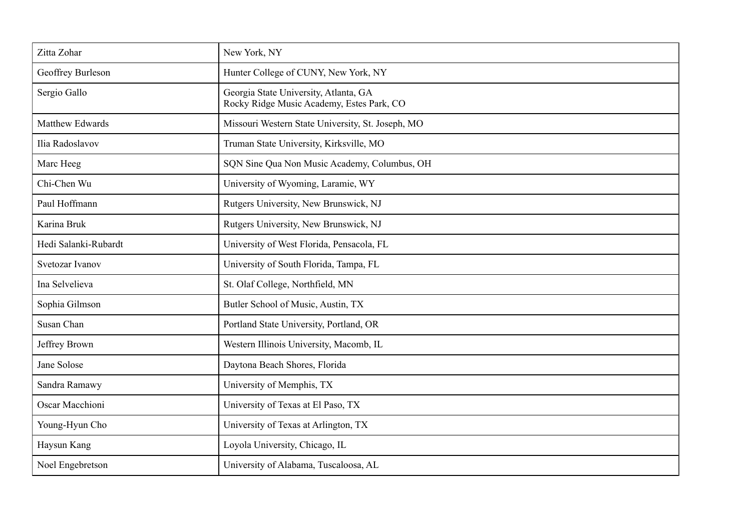| Zitta Zohar            | New York, NY                                                                       |
|------------------------|------------------------------------------------------------------------------------|
| Geoffrey Burleson      | Hunter College of CUNY, New York, NY                                               |
| Sergio Gallo           | Georgia State University, Atlanta, GA<br>Rocky Ridge Music Academy, Estes Park, CO |
| Matthew Edwards        | Missouri Western State University, St. Joseph, MO                                  |
| Ilia Radoslavov        | Truman State University, Kirksville, MO                                            |
| Marc Heeg              | SQN Sine Qua Non Music Academy, Columbus, OH                                       |
| Chi-Chen Wu            | University of Wyoming, Laramie, WY                                                 |
| Paul Hoffmann          | Rutgers University, New Brunswick, NJ                                              |
| Karina Bruk            | Rutgers University, New Brunswick, NJ                                              |
| Hedi Salanki-Rubardt   | University of West Florida, Pensacola, FL                                          |
| Svetozar Ivanov        | University of South Florida, Tampa, FL                                             |
| Ina Selvelieva         | St. Olaf College, Northfield, MN                                                   |
| Sophia Gilmson         | Butler School of Music, Austin, TX                                                 |
| Susan Chan             | Portland State University, Portland, OR                                            |
| Jeffrey Brown          | Western Illinois University, Macomb, IL                                            |
| Jane Solose            | Daytona Beach Shores, Florida                                                      |
| Sandra Ramawy          | University of Memphis, TX                                                          |
| <b>Oscar Macchioni</b> | University of Texas at El Paso, TX                                                 |
| Young-Hyun Cho         | University of Texas at Arlington, TX                                               |
| Haysun Kang            | Loyola University, Chicago, IL                                                     |
| Noel Engebretson       | University of Alabama, Tuscaloosa, AL                                              |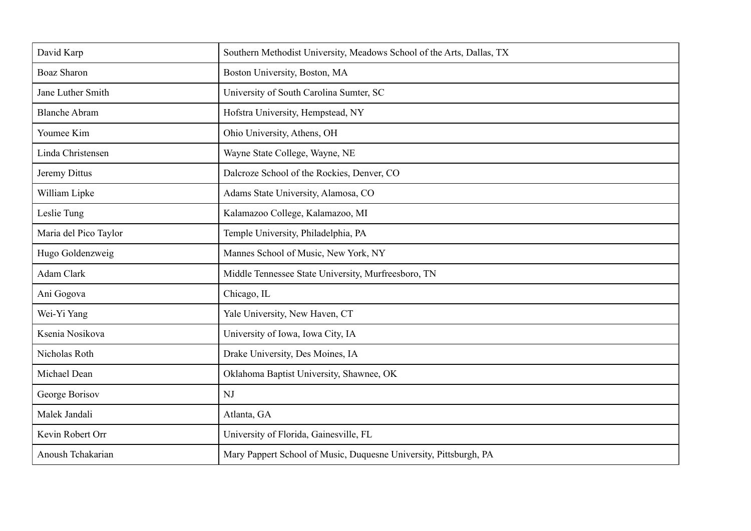| David Karp            | Southern Methodist University, Meadows School of the Arts, Dallas, TX |
|-----------------------|-----------------------------------------------------------------------|
| <b>Boaz Sharon</b>    | Boston University, Boston, MA                                         |
| Jane Luther Smith     | University of South Carolina Sumter, SC                               |
| <b>Blanche Abram</b>  | Hofstra University, Hempstead, NY                                     |
| Youmee Kim            | Ohio University, Athens, OH                                           |
| Linda Christensen     | Wayne State College, Wayne, NE                                        |
| Jeremy Dittus         | Dalcroze School of the Rockies, Denver, CO                            |
| William Lipke         | Adams State University, Alamosa, CO                                   |
| Leslie Tung           | Kalamazoo College, Kalamazoo, MI                                      |
| Maria del Pico Taylor | Temple University, Philadelphia, PA                                   |
| Hugo Goldenzweig      | Mannes School of Music, New York, NY                                  |
| <b>Adam Clark</b>     | Middle Tennessee State University, Murfreesboro, TN                   |
| Ani Gogova            | Chicago, IL                                                           |
| Wei-Yi Yang           | Yale University, New Haven, CT                                        |
| Ksenia Nosikova       | University of Iowa, Iowa City, IA                                     |
| Nicholas Roth         | Drake University, Des Moines, IA                                      |
| Michael Dean          | Oklahoma Baptist University, Shawnee, OK                              |
| George Borisov        | NJ                                                                    |
| Malek Jandali         | Atlanta, GA                                                           |
| Kevin Robert Orr      | University of Florida, Gainesville, FL                                |
| Anoush Tchakarian     | Mary Pappert School of Music, Duquesne University, Pittsburgh, PA     |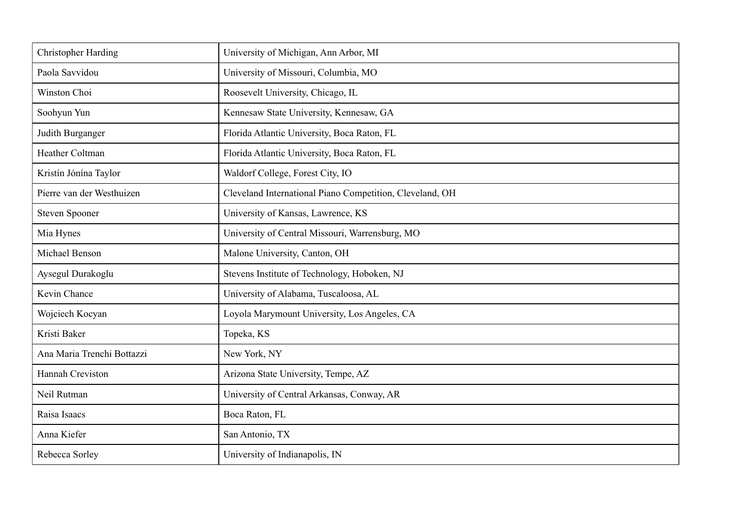| <b>Christopher Harding</b> | University of Michigan, Ann Arbor, MI                    |
|----------------------------|----------------------------------------------------------|
| Paola Savvidou             | University of Missouri, Columbia, MO                     |
| Winston Choi               | Roosevelt University, Chicago, IL                        |
| Soohyun Yun                | Kennesaw State University, Kennesaw, GA                  |
| Judith Burganger           | Florida Atlantic University, Boca Raton, FL              |
| Heather Coltman            | Florida Atlantic University, Boca Raton, FL              |
| Kristín Jónína Taylor      | Waldorf College, Forest City, IO                         |
| Pierre van der Westhuizen  | Cleveland International Piano Competition, Cleveland, OH |
| <b>Steven Spooner</b>      | University of Kansas, Lawrence, KS                       |
| Mia Hynes                  | University of Central Missouri, Warrensburg, MO          |
| Michael Benson             | Malone University, Canton, OH                            |
| Aysegul Durakoglu          | Stevens Institute of Technology, Hoboken, NJ             |
| Kevin Chance               | University of Alabama, Tuscaloosa, AL                    |
| Wojciech Kocyan            | Loyola Marymount University, Los Angeles, CA             |
| Kristi Baker               | Topeka, KS                                               |
| Ana Maria Trenchi Bottazzi | New York, NY                                             |
| Hannah Creviston           | Arizona State University, Tempe, AZ                      |
| Neil Rutman                | University of Central Arkansas, Conway, AR               |
| Raisa Isaacs               | Boca Raton, FL                                           |
| Anna Kiefer                | San Antonio, TX                                          |
| Rebecca Sorley             | University of Indianapolis, IN                           |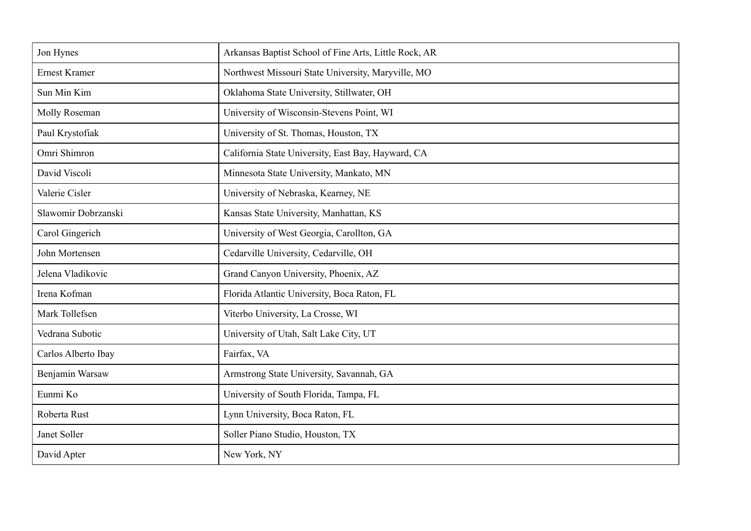| Jon Hynes            | Arkansas Baptist School of Fine Arts, Little Rock, AR |
|----------------------|-------------------------------------------------------|
| <b>Ernest Kramer</b> | Northwest Missouri State University, Maryville, MO    |
| Sun Min Kim          | Oklahoma State University, Stillwater, OH             |
| Molly Roseman        | University of Wisconsin-Stevens Point, WI             |
| Paul Krystofiak      | University of St. Thomas, Houston, TX                 |
| Omri Shimron         | California State University, East Bay, Hayward, CA    |
| David Viscoli        | Minnesota State University, Mankato, MN               |
| Valerie Cisler       | University of Nebraska, Kearney, NE                   |
| Slawomir Dobrzanski  | Kansas State University, Manhattan, KS                |
| Carol Gingerich      | University of West Georgia, Carollton, GA             |
| John Mortensen       | Cedarville University, Cedarville, OH                 |
| Jelena Vladikovic    | Grand Canyon University, Phoenix, AZ                  |
| Irena Kofman         | Florida Atlantic University, Boca Raton, FL           |
| Mark Tollefsen       | Viterbo University, La Crosse, WI                     |
| Vedrana Subotic      | University of Utah, Salt Lake City, UT                |
| Carlos Alberto Ibay  | Fairfax, VA                                           |
| Benjamin Warsaw      | Armstrong State University, Savannah, GA              |
| Eunmi Ko             | University of South Florida, Tampa, FL                |
| Roberta Rust         | Lynn University, Boca Raton, FL                       |
| Janet Soller         | Soller Piano Studio, Houston, TX                      |
| David Apter          | New York, NY                                          |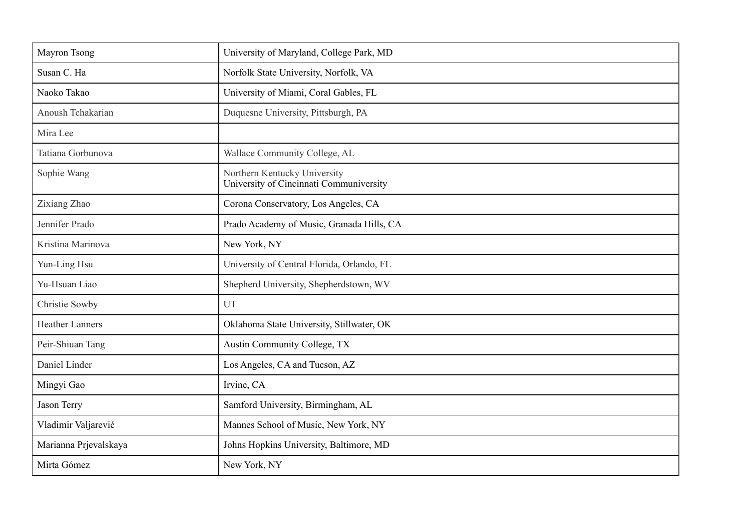| Mayron Tsong           | University of Maryland, College Park, MD                                |
|------------------------|-------------------------------------------------------------------------|
| Susan C. Ha            | Norfolk State University, Norfolk, VA                                   |
| Naoko Takao            | University of Miami, Coral Gables, FL                                   |
| Anoush Tchakarian      | Duquesne University, Pittsburgh, PA                                     |
| Mira Lee               |                                                                         |
| Tatiana Gorbunova      | Wallace Community College, AL                                           |
| Sophie Wang            | Northern Kentucky University<br>University of Cincinnati Communiversity |
| Zixiang Zhao           | Corona Conservatory, Los Angeles, CA                                    |
| Jennifer Prado         | Prado Academy of Music, Granada Hills, CA                               |
| Kristina Marinova      | New York, NY                                                            |
| Yun-Ling Hsu           | University of Central Florida, Orlando, FL                              |
| Yu-Hsuan Liao          | Shepherd University, Shepherdstown, WV                                  |
| Christie Sowby         | UT                                                                      |
| <b>Heather Lanners</b> | Oklahoma State University, Stillwater, OK                               |
| Peir-Shiuan Tang       | Austin Community College, TX                                            |
| Daniel Linder          | Los Angeles, CA and Tucson, AZ                                          |
| Mingyi Gao             | Irvine, CA                                                              |
| Jason Terry            | Samford University, Birmingham, AL                                      |
| Vladimir Valjarević    | Mannes School of Music, New York, NY                                    |
| Marianna Prjevalskaya  | Johns Hopkins University, Baltimore, MD                                 |
| Mirta Gómez            | New York, NY                                                            |